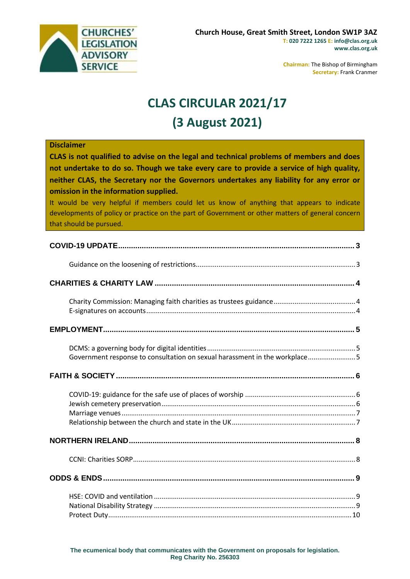

**Chairman:** The Bishop of Birmingham **Secretary:** Frank Cranmer

# **CLAS CIRCULAR 2021/17 (3 August 2021)**

## **Disclaimer CLAS is not qualified to advise on the legal and technical problems of members and does not undertake to do so. Though we take every care to provide a service of high quality, neither CLAS, the Secretary nor the Governors undertakes any liability for any error or omission in the information supplied.** It would be very helpful if members could let us know of anything that appears to indicate developments of policy or practice on the part of Government or other matters of general concern that should be pursued. **[COVID-19 UPDATE..............................................................................................................](#page-2-0) 3** [Guidance on the loosening of restrictions....................................................................................3](#page-2-1) **CHARITIES & CHARITY LAW [.............................................................................................](#page-3-0) 4** Charity Commission: Managing faith [charities as trustees guidance...........................................4](#page-3-1) [E-signatures on accounts..............................................................................................................4](#page-3-2) **[EMPLOYMENT.....................................................................................................................](#page-4-0) 5** [DCMS: a governing body for digital identities..............................................................................5](#page-4-1) Government response to consultation on sexual harassment in the workplace...........................5 **[FAITH & SOCIETY...............................................................................................................](#page-5-0) 6** [COVID-19: guidance for the safe use of places of worship](#page-5-1) ..........................................................6 [Jewish cemetery preservation......................................................................................................6](#page-5-2) [Marriage venues...........................................................................................................................7](#page-6-0) [Relationship between the church and state in the UK.................................................................7](#page-6-1) **[NORTHERN IRELAND.........................................................................................................](#page-7-0) 8** [CCNI: Charities SORP.....................................................................................................................8](#page-7-1) **[ODDS & ENDS.....................................................................................................................](#page-8-0) 9** HSE: COVID and ventilation [..........................................................................................................9](#page-8-1) National Disability Strategy [..........................................................................................................9](#page-8-2) [Protect Duty................................................................................................................................10](#page-9-0)

**The ecumenical body that communicates with the Government on proposals for legislation. Reg Charity No. 256303**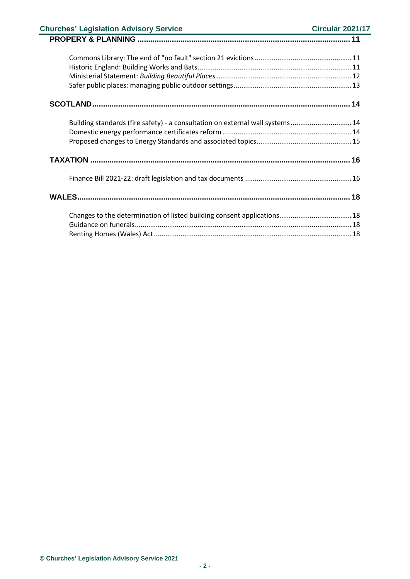| <b>Churches' Legislation Advisory Service</b>                                 | <b>Circular 2021/17</b> |
|-------------------------------------------------------------------------------|-------------------------|
|                                                                               |                         |
|                                                                               |                         |
|                                                                               |                         |
|                                                                               |                         |
|                                                                               |                         |
|                                                                               |                         |
| Building standards (fire safety) - a consultation on external wall systems 14 |                         |
|                                                                               |                         |
|                                                                               |                         |
|                                                                               |                         |
|                                                                               |                         |
|                                                                               |                         |
| Changes to the determination of listed building consent applications 18       |                         |
|                                                                               |                         |
|                                                                               |                         |
|                                                                               |                         |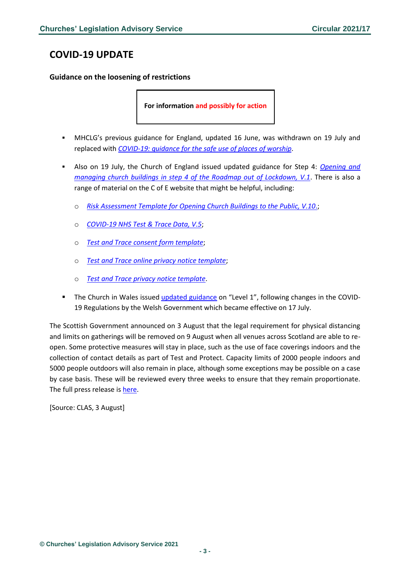### <span id="page-2-0"></span>**COVID-19 UPDATE**

<span id="page-2-1"></span>**Guidance on the loosening of restrictions**

**For information and possibly for action**

- MHCLG's previous guidance for England, updated 16 June, was withdrawn on 19 July and replaced with *[COVID-19: guidance for the safe use of places of worship](https://www.gov.uk/guidance/covid-19-guidance-for-the-safe-use-of-places-of-worship)*.
- Also on 19 July, the Church of England issued updated guidance for Step 4: *[Opening and](https://www.churchofengland.org/media/24767)  [managing church buildings in step 4 of the Roadmap out of Lockdown, V.1](https://www.churchofengland.org/media/24767)*. There is also a range of material on the C of E website that might be helpful, including:
	- o *[Risk Assessment Template for Opening Church Buildings to the Public, V.10](https://www.churchofengland.org/media/20510)*.;
	- o *[COVID-19 NHS Test & Trace Data, V.5](https://www.churchofengland.org/media/21016)*;
	- o *[Test and Trace consent form template](https://www.churchofengland.org/media/21017)*;
	- o *[Test and Trace online privacy notice template](https://www.churchofengland.org/media/21018)*;
	- o *[Test and Trace privacy notice template](https://www.churchofengland.org/media/21019)*.
- **•** The Church in Wales issued [updated guidance](https://www.churchinwales.org.uk/en/clergy-and-members/coronavirus-covid-19-guidance/) on "Level 1", following changes in the COVID-19 Regulations by the Welsh Government which became effective on 17 July.

The Scottish Government announced on 3 August that the legal requirement for physical distancing and limits on gatherings will be removed on 9 August when all venues across Scotland are able to reopen. Some protective measures will stay in place, such as the use of face coverings indoors and the collection of contact details as part of Test and Protect. Capacity limits of 2000 people indoors and 5000 people outdoors will also remain in place, although some exceptions may be possible on a case by case basis. These will be reviewed every three weeks to ensure that they remain proportionate. The full press release is [here.](https://www.gov.scot/news/scotland-to-move-beyond-level-0/)

[Source: CLAS, 3 August]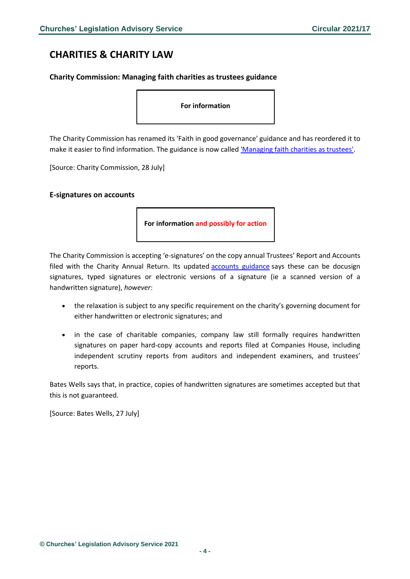### <span id="page-3-0"></span>**CHARITIES & CHARITY LAW**

### <span id="page-3-1"></span>**Charity Commission: Managing faith charities as trustees guidance**

**For information**

The Charity Commission has renamed its 'Faith in good governance' guidance and has reordered it to make it easier to find information. The guidance is now called ['Managing faith charities as trustees'.](https://www.gov.uk/government/publications/faith-based-charities/managing-faith-charities-as-trustees)

[Source: Charity Commission, 28 July]

#### <span id="page-3-2"></span>**E-signatures on accounts**

**For information and possibly for action**

The Charity Commission is accepting 'e-signatures' on the copy annual Trustees' Report and Accounts filed with the Charity Annual Return. Its updated **[accounts guidance](https://www.gov.uk/government/publications/charity-reporting-and-accounting-the-essentials-november-2016-cc15d/charity-reporting-and-accounting-the-essentials-november-2016-cc15d--2)** says these can be docusign signatures, typed signatures or electronic versions of a signature (ie a scanned version of a handwritten signature), *however*:

- the relaxation is subject to any specific requirement on the charity's governing document for either handwritten or electronic signatures; and
- in the case of charitable companies, company law still formally requires handwritten signatures on paper hard-copy accounts and reports filed at Companies House, including independent scrutiny reports from auditors and independent examiners, and trustees' reports.

Bates Wells says that, in practice, copies of handwritten signatures are sometimes accepted but that this is not guaranteed.

[Source: Bates Wells, 27 July]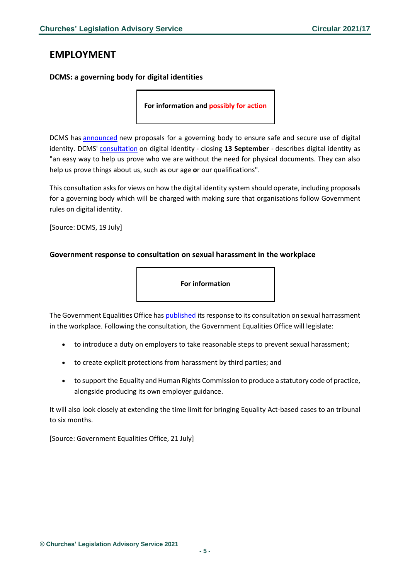### <span id="page-4-0"></span>**EMPLOYMENT**

### <span id="page-4-1"></span>**DCMS: a governing body for digital identities**

**For information and possibly for action** 

DCMS has [announced](https://www.gov.uk/government/news/plans-for-governing-body-to-make-digital-identities-as-trusted-as-passports) new proposals for a governing body to ensure safe and secure use of digital identity. DCMS' [consultation](https://www.gov.uk/government/consultations/digital-identity-and-attributes-consultation) on digital identity - closing **13 September** - describes digital identity as "an easy way to help us prove who we are without the need for physical documents. They can also help us prove things about us, such as our age **o**r our qualifications".

This consultation asks for views on how the digital identity system should operate, including proposals for a governing body which will be charged with making sure that organisations follow Government rules on digital identity.

[Source: DCMS, 19 July]

### <span id="page-4-2"></span>**Government response to consultation on sexual harassment in the workplace**



The Government Equalities Office has [published](https://www.gov.uk/government/consultations/consultation-on-sexual-harassment-in-the-workplace?utm_medium=email&utm_campaign=govuk-notifications&utm_source=d598765a-aacf-44fa-b04c-420ec1f7bf1a&utm_content=daily) its response to its consultation on sexual harrassment in the workplace. Following the consultation, the Government Equalities Office will legislate:

- to introduce a duty on employers to take reasonable steps to prevent sexual harassment;
- to create explicit protections from harassment by third parties; and
- to support the Equality and Human Rights Commission to produce a statutory code of practice, alongside producing its own employer guidance.

It will also look closely at extending the time limit for bringing Equality Act-based cases to an tribunal to six months.

[Source: Government Equalities Office, 21 July]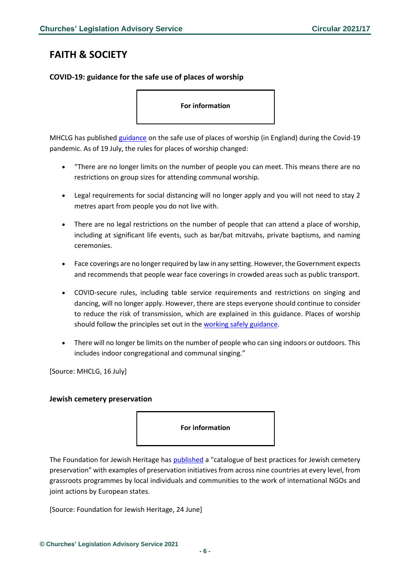### <span id="page-5-0"></span>**FAITH & SOCIETY**

### <span id="page-5-1"></span>**COVID-19: guidance for the safe use of places of worship**

**For information**

MHCLG has publishe[d guidance](https://www.gov.uk/guidance/covid-19-guidance-for-the-safe-use-of-places-of-worship?utm_medium=email&utm_campaign=govuk-notifications&utm_source=4a6fe698-9601-40d0-96eb-811210f06ed1&utm_content=immediately) on the safe use of places of worship (in England) during the Covid-19 pandemic. As of 19 July, the rules for places of worship changed:

- "There are no longer limits on the number of people you can meet. This means there are no restrictions on group sizes for attending communal worship.
- Legal requirements for social distancing will no longer apply and you will not need to stay 2 metres apart from people you do not live with.
- There are no legal restrictions on the number of people that can attend a place of worship, including at significant life events, such as bar/bat mitzvahs, private baptisms, and naming ceremonies.
- Face coverings are no longer required by law in any setting. However, the Government expects and recommends that people wear face coverings in crowded areas such as public transport.
- COVID-secure rules, including table service requirements and restrictions on singing and dancing, will no longer apply. However, there are steps everyone should continue to consider to reduce the risk of transmission, which are explained in this guidance. Places of worship should follow the principles set out in the [working safely guidance.](https://www.gov.uk/guidance/working-safely-during-covid-19)
- There will no longer be limits on the number of people who can sing indoors or outdoors. This includes indoor congregational and communal singing."

[Source: MHCLG, 16 July]

#### <span id="page-5-2"></span>**Jewish cemetery preservation**



The Foundation for Jewish Heritage has [published](https://www.foundationforjewishheritage.com/post/catalogue-of-best-practices-for-jewish-cemetery-preservation) a "catalogue of best practices for Jewish cemetery preservation" with examples of preservation initiatives from across nine countries at every level, from grassroots programmes by local individuals and communities to the work of international NGOs and joint actions by European states.

[Source: Foundation for Jewish Heritage, 24 June]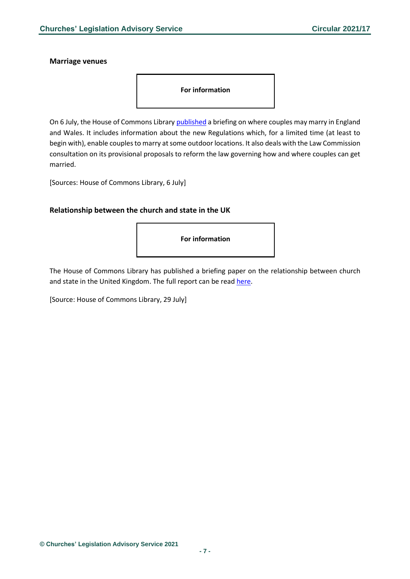#### <span id="page-6-0"></span>**Marriage venues**



On 6 July, the House of Commons Library [published](https://commonslibrary.parliament.uk/research-briefings/sn02842/?utm_source=HOC+Library+-+Research+alerts&utm_campaign=36871ed16a-EMAIL_CAMPAIGN_2021_07_07_08_00&utm_medium=email&utm_term=0_a9da1c9b17-36871ed16a-103579521&mc_cid=36871ed16a&mc_eid=4f1a0992e5) a briefing on where couples may marry in England and Wales. It includes information about the new Regulations which, for a limited time (at least to begin with), enable couples to marry at some outdoor locations. It also deals with the Law Commission consultation on its provisional proposals to reform the law governing how and where couples can get married.

[Sources: House of Commons Library, 6 July]

#### <span id="page-6-1"></span>**Relationship between the church and state in the UK**

**For information**

The House of Commons Library has published a briefing paper on the relationship between church and state in the United Kingdom. The full report can be rea[d here.](https://researchbriefings.files.parliament.uk/documents/CBP-8886/CBP-8886.pdf)

[Source: House of Commons Library, 29 July]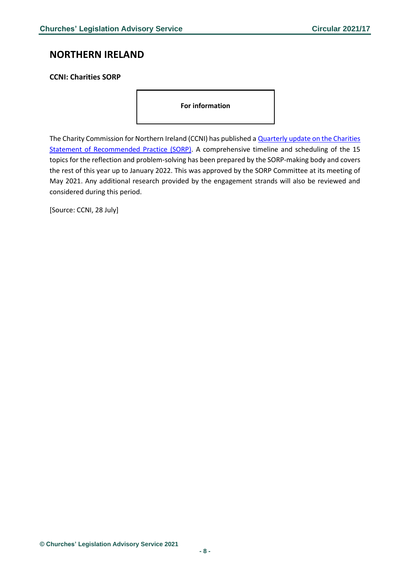### <span id="page-7-0"></span>**NORTHERN IRELAND**

### <span id="page-7-1"></span>**CCNI: Charities SORP**

**For information**

The Charity Commission for Northern Ireland (CCNI) has published a **Quarterly update on the Charities** [Statement of Recommended Practice \(SORP\).](https://www.charitycommissionni.org.uk/news/charities-sorp-quarterly-update/) A comprehensive timeline and scheduling of the 15 topics for the reflection and problem-solving has been prepared by the SORP-making body and covers the rest of this year up to January 2022. This was approved by the SORP Committee at its meeting of May 2021. Any additional research provided by the engagement strands will also be reviewed and considered during this period.

[Source: CCNI, 28 July]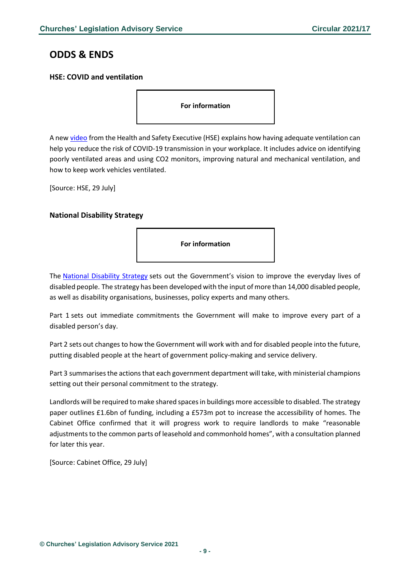### <span id="page-8-0"></span>**ODDS & ENDS**

### <span id="page-8-1"></span>**HSE: COVID and ventilation**

**For information**

A new [video](https://www.youtube.com/watch?v=hkK_LZeUGXM&t=1s) from the Health and Safety Executive (HSE) explains how having adequate ventilation can help you reduce the risk of COVID-19 transmission in your workplace. It includes advice on identifying poorly ventilated areas and using CO2 monitors, improving natural and mechanical ventilation, and how to keep work vehicles ventilated.

[Source: HSE, 29 July]

### <span id="page-8-2"></span>**National Disability Strategy**

**For information**

The [National Disability Strategy](https://www.gov.uk/government/publications/national-disability-strategy) sets out the Government's vision to improve the everyday lives of disabled people. The strategy has been developed with the input of more than 14,000 disabled people, as well as disability organisations, businesses, policy experts and many others.

Part 1 sets out immediate commitments the Government will make to improve every part of a disabled person's day.

Part 2 sets out changes to how the Government will work with and for disabled people into the future, putting disabled people at the heart of government policy-making and service delivery.

Part 3 summarises the actions that each government department will take, with ministerial champions setting out their personal commitment to the strategy.

Landlords will be required to make shared spaces in buildings more accessible to disabled. The strategy paper outlines £1.6bn of funding, including a £573m pot to increase the accessibility of homes. The Cabinet Office confirmed that it will progress work to require landlords to make "reasonable adjustments to the common parts of leasehold and commonhold homes", with a consultation planned for later this year.

[Source: Cabinet Office, 29 July]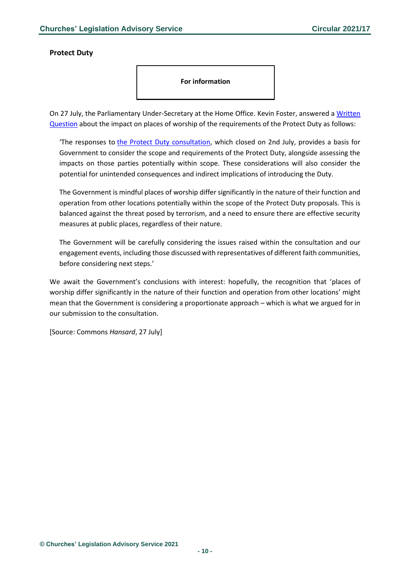#### <span id="page-9-0"></span>**Protect Duty**

**For information**

On 27 July, the Parliamentary Under-Secretary at the Home Office. Kevin Foster, answered a [Written](https://questions-statements.parliament.uk/written-questions/detail/2021-07-19/35592)  [Question](https://questions-statements.parliament.uk/written-questions/detail/2021-07-19/35592) about the impact on places of worship of the requirements of the Protect Duty as follows:

'The responses to [the Protect Duty consultation,](https://assets.publishing.service.gov.uk/government/uploads/system/uploads/attachment_data/file/964808/Protect_Duty_Consultation_Document5.pdf) which closed on 2nd July, provides a basis for Government to consider the scope and requirements of the Protect Duty, alongside assessing the impacts on those parties potentially within scope. These considerations will also consider the potential for unintended consequences and indirect implications of introducing the Duty.

The Government is mindful places of worship differ significantly in the nature of their function and operation from other locations potentially within the scope of the Protect Duty proposals. This is balanced against the threat posed by terrorism, and a need to ensure there are effective security measures at public places, regardless of their nature.

The Government will be carefully considering the issues raised within the consultation and our engagement events, including those discussed with representatives of different faith communities, before considering next steps.'

We await the Government's conclusions with interest: hopefully, the recognition that 'places of worship differ significantly in the nature of their function and operation from other locations' might mean that the Government is considering a proportionate approach – which is what we argued for in our submission to the consultation.

[Source: Commons *Hansard*, 27 July]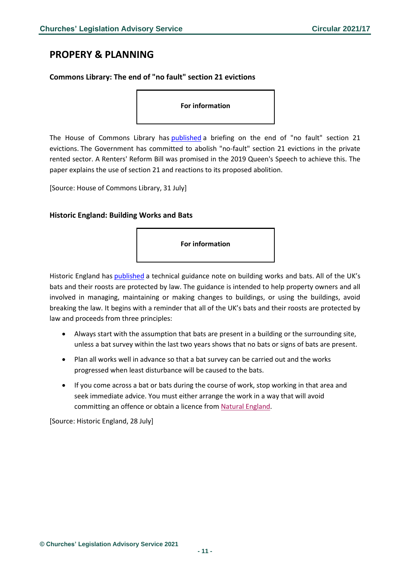### <span id="page-10-0"></span>**PROPERY & PLANNING**

### <span id="page-10-1"></span>**Commons Library: The end of "no fault" section 21 evictions**

**For information**

The House of Commons Library has [published](https://commonslibrary.parliament.uk/research-briefings/cbp-8658/?utm_source=HOC+Library+-+Research+alerts&utm_campaign=09556b36a9-EMAIL_CAMPAIGN_2021_07_31_08_00&utm_medium=email&utm_term=0_a9da1c9b17-09556b36a9-103579521&mc_cid=09556b36a9&mc_eid=4f1a0992e5) a briefing on the end of "no fault" section 21 evictions. The Government has committed to abolish "no-fault" section 21 evictions in the private rented sector. A Renters' Reform Bill was promised in the 2019 Queen's Speech to achieve this. The paper explains the use of section 21 and reactions to its proposed abolition.

[Source: House of Commons Library, 31 July]

#### <span id="page-10-2"></span>**Historic England: Building Works and Bats**



Historic England has [published](https://historicengland.org.uk/advice/technical-advice/buildings/building-works-and-bats/) a technical guidance note on building works and bats. All of the UK's bats and their roosts are protected by law. The guidance is intended to help property owners and all involved in managing, maintaining or making changes to buildings, or using the buildings, avoid breaking the law. It begins with a reminder that all of the UK's bats and their roosts are protected by law and proceeds from three principles:

- Always start with the assumption that bats are present in a building or the surrounding site, unless a bat survey within the last two years shows that no bats or signs of bats are present.
- Plan all works well in advance so that a bat survey can be carried out and the works progressed when least disturbance will be caused to the bats.
- If you come across a bat or bats during the course of work, stop working in that area and seek immediate advice. You must either arrange the work in a way that will avoid committing an offence or obtain a licence from [Natural England.](https://www.gov.uk/guidance/bats-protection-surveys-and-licences)

[Source: Historic England, 28 July]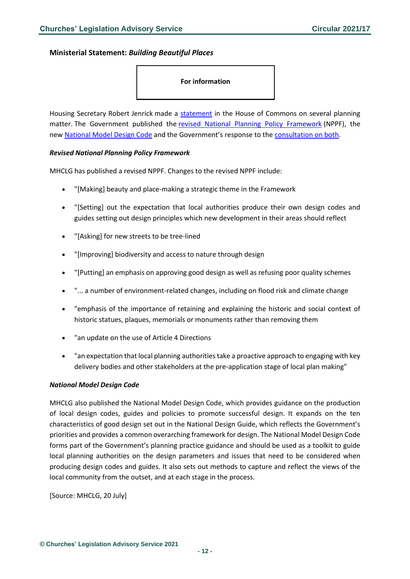### <span id="page-11-0"></span>**Ministerial Statement:** *Building Beautiful Places*

### **For information**

Housing Secretary Robert Jenrick made a [statement](https://questions-statements.parliament.uk/written-statements/detail/2021-07-20/hcws216) in the House of Commons on several planning matter. The Government published the [revised National Planning Policy Framework](https://www.gov.uk/government/publications/national-planning-policy-framework--2) (NPPF), the new [National Model Design Code](https://www.gov.uk/government/publications/national-model-design-code) and the Government's response to the [consultation on both.](https://www.gov.uk/government/consultations/national-planning-policy-framework-and-national-model-design-code-consultation-proposals)

#### *Revised National Planning Policy Framework*

MHCLG has published a revised NPPF. Changes to the revised NPPF include:

- "[Making] beauty and place-making a strategic theme in the Framework
- "[Setting] out the expectation that local authorities produce their own design codes and guides setting out design principles which new development in their areas should reflect
- "[Asking] for new streets to be tree-lined
- "[Improving] biodiversity and access to nature through design
- "[Putting] an emphasis on approving good design as well as refusing poor quality schemes
- "... a number of environment-related changes, including on flood risk and climate change
- "emphasis of the importance of retaining and explaining the historic and social context of historic statues, plaques, memorials or monuments rather than removing them
- "an update on the use of Article 4 Directions
- "an expectation that local planning authorities take a proactive approach to engaging with key delivery bodies and other stakeholders at the pre-application stage of local plan making"

#### *National Model Design Code*

MHCLG also published the National Model Design Code, which provides guidance on the production of local design codes, guides and policies to promote successful design. It expands on the ten characteristics of good design set out in the National Design Guide, which reflects the Government's priorities and provides a common overarching framework for design. The National Model Design Code forms part of the Government's planning practice guidance and should be used as a toolkit to guide local planning authorities on the design parameters and issues that need to be considered when producing design codes and guides. It also sets out methods to capture and reflect the views of the local community from the outset, and at each stage in the process.

[Source: MHCLG, 20 July]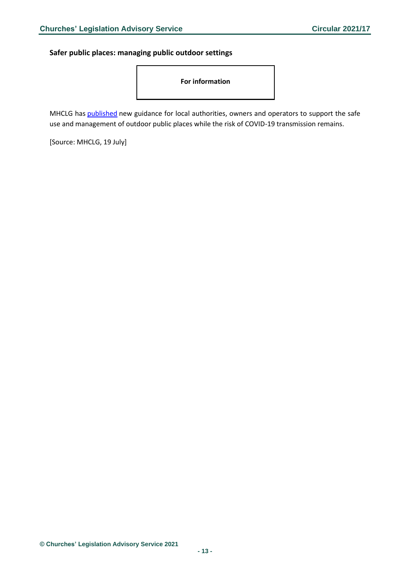<span id="page-12-0"></span>**Safer public places: managing public outdoor settings**

**For information**

MHCLG has [published](https://www.gov.uk/guidance/coronavirus-covid-19-safer-public-places-managing-public-outdoor-settings?utm_medium=email&utm_campaign=govuk-notifications&utm_source=2b89d30e-c7da-4b6c-8809-003c8560cd21&utm_content=daily) new guidance for local authorities, owners and operators to support the safe use and management of outdoor public places while the risk of COVID-19 transmission remains.

[Source: MHCLG, 19 July]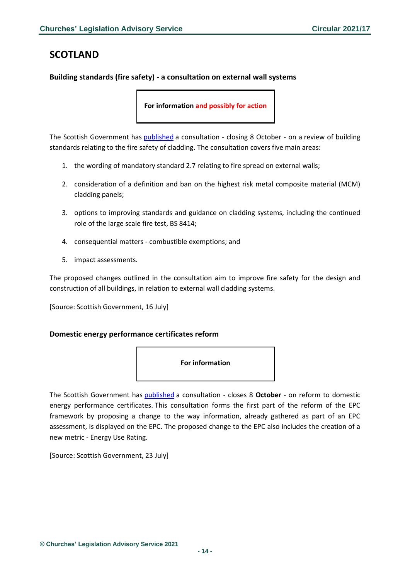### <span id="page-13-0"></span>**SCOTLAND**

### <span id="page-13-1"></span>**Building standards (fire safety) - a consultation on external wall systems**

**For information and possibly for action**

The Scottish Government has [published](https://consult.gov.scot/building-standards/building-regulations-fire-ews-review/consult_view/) a consultation - closing 8 October - on a review of building standards relating to the fire safety of cladding. The consultation covers five main areas:

- 1. the wording of mandatory standard 2.7 relating to fire spread on external walls;
- 2. consideration of a definition and ban on the highest risk metal composite material (MCM) cladding panels;
- 3. options to improving standards and guidance on cladding systems, including the continued role of the large scale fire test, BS 8414;
- 4. consequential matters combustible exemptions; and
- 5. impact assessments.

The proposed changes outlined in the consultation aim to improve fire safety for the design and construction of all buildings, in relation to external wall cladding systems.

[Source: Scottish Government, 16 July]

### <span id="page-13-2"></span>**Domestic energy performance certificates reform**



The Scottish Government has [published](https://consult.gov.scot/energy-and-climate-change-directorate/reforming-domestic-energy-performance-certificates/) a consultation - closes 8 **October** - on reform to domestic energy performance certificates. This consultation forms the first part of the reform of the EPC framework by proposing a change to the way information, already gathered as part of an EPC assessment, is displayed on the EPC. The proposed change to the EPC also includes the creation of a new metric - Energy Use Rating.

[Source: Scottish Government, 23 July]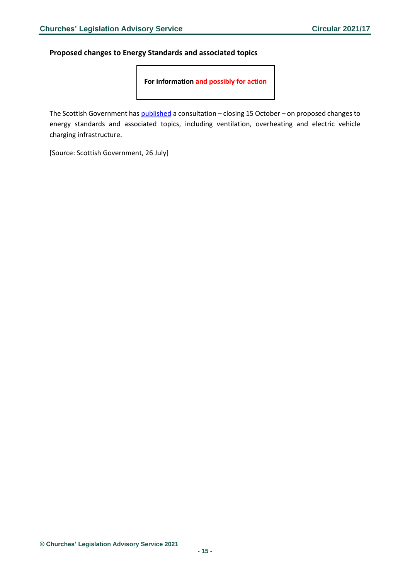<span id="page-14-0"></span>**Proposed changes to Energy Standards and associated topics**

**For information and possibly for action**

The Scottish Government has *[published](https://www.gov.scot/isbn/9781802012040)* a consultation - closing 15 October - on proposed changes to energy standards and associated topics, including ventilation, overheating and electric vehicle charging infrastructure.

[Source: Scottish Government, 26 July]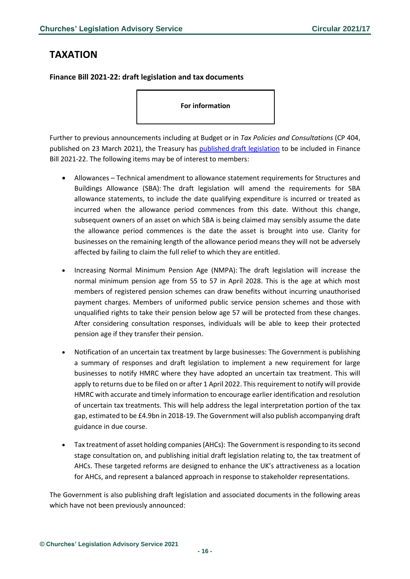### <span id="page-15-0"></span>**TAXATION**

<span id="page-15-1"></span>**Finance Bill 2021-22: draft legislation and tax documents**

**For information**

Further to previous announcements including at Budget or in *Tax Policies and Consultations* (CP 404, published on 23 March 2021), the Treasury has published [draft legislation](https://questions-statements.parliament.uk/written-statements/detail/2021-07-20/hcws204) to be included in Finance Bill 2021-22. The following items may be of interest to members:

- Allowances Technical amendment to allowance statement requirements for Structures and Buildings Allowance (SBA): The draft legislation will amend the requirements for SBA allowance statements, to include the date qualifying expenditure is incurred or treated as incurred when the allowance period commences from this date. Without this change, subsequent owners of an asset on which SBA is being claimed may sensibly assume the date the allowance period commences is the date the asset is brought into use. Clarity for businesses on the remaining length of the allowance period means they will not be adversely affected by failing to claim the full relief to which they are entitled.
- Increasing Normal Minimum Pension Age (NMPA): The draft legislation will increase the normal minimum pension age from 55 to 57 in April 2028. This is the age at which most members of registered pension schemes can draw benefits without incurring unauthorised payment charges. Members of uniformed public service pension schemes and those with unqualified rights to take their pension below age 57 will be protected from these changes. After considering consultation responses, individuals will be able to keep their protected pension age if they transfer their pension.
- Notification of an uncertain tax treatment by large businesses: The Government is publishing a summary of responses and draft legislation to implement a new requirement for large businesses to notify HMRC where they have adopted an uncertain tax treatment. This will apply to returns due to be filed on or after 1 April 2022. This requirement to notify will provide HMRC with accurate and timely information to encourage earlier identification and resolution of uncertain tax treatments. This will help address the legal interpretation portion of the tax gap, estimated to be £4.9bn in 2018-19. The Government will also publish accompanying draft guidance in due course.
- Tax treatment of asset holding companies (AHCs): The Government is responding to its second stage consultation on, and publishing initial draft legislation relating to, the tax treatment of AHCs. These targeted reforms are designed to enhance the UK's attractiveness as a location for AHCs, and represent a balanced approach in response to stakeholder representations.

The Government is also publishing draft legislation and associated documents in the following areas which have not been previously announced: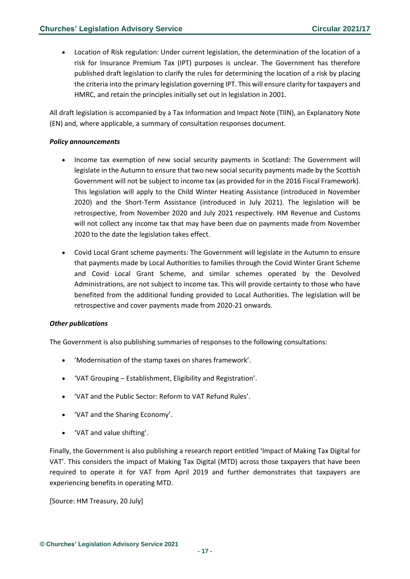• Location of Risk regulation: Under current legislation, the determination of the location of a risk for Insurance Premium Tax (IPT) purposes is unclear. The Government has therefore published draft legislation to clarify the rules for determining the location of a risk by placing the criteria into the primary legislation governing IPT. This will ensure clarity for taxpayers and HMRC, and retain the principles initially set out in legislation in 2001.

All draft legislation is accompanied by a Tax Information and Impact Note (TIIN), an Explanatory Note (EN) and, where applicable, a summary of consultation responses document.

#### *Policy announcements*

- Income tax exemption of new social security payments in Scotland: The Government will legislate in the Autumn to ensure that two new social security payments made by the Scottish Government will not be subject to income tax (as provided for in the 2016 Fiscal Framework). This legislation will apply to the Child Winter Heating Assistance (introduced in November 2020) and the Short-Term Assistance (introduced in July 2021). The legislation will be retrospective, from November 2020 and July 2021 respectively. HM Revenue and Customs will not collect any income tax that may have been due on payments made from November 2020 to the date the legislation takes effect.
- Covid Local Grant scheme payments: The Government will legislate in the Autumn to ensure that payments made by Local Authorities to families through the Covid Winter Grant Scheme and Covid Local Grant Scheme, and similar schemes operated by the Devolved Administrations, are not subject to income tax. This will provide certainty to those who have benefited from the additional funding provided to Local Authorities. The legislation will be retrospective and cover payments made from 2020-21 onwards.

### *Other publications*

The Government is also publishing summaries of responses to the following consultations:

- 'Modernisation of the stamp taxes on shares framework'.
- 'VAT Grouping Establishment, Eligibility and Registration'.
- 'VAT and the Public Sector: Reform to VAT Refund Rules'.
- 'VAT and the Sharing Economy'.
- 'VAT and value shifting'.

Finally, the Government is also publishing a research report entitled 'Impact of Making Tax Digital for VAT'. This considers the impact of Making Tax Digital (MTD) across those taxpayers that have been required to operate it for VAT from April 2019 and further demonstrates that taxpayers are experiencing benefits in operating MTD.

[Source: HM Treasury, 20 July]